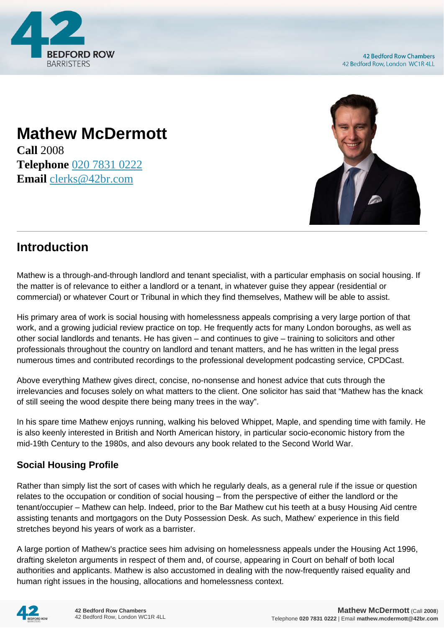

# **Mathew McDermott**

**Call** 2008 **Telephone** [020 7831 0222](https://pdf.codeshore.co/_42br/tel:020 7831 0222) **Email** [clerks@42br.com](mailto:clerks@42br.com)



# **Introduction**

Mathew is a through-and-through landlord and tenant specialist, with a particular emphasis on social housing. If the matter is of relevance to either a landlord or a tenant, in whatever guise they appear (residential or commercial) or whatever Court or Tribunal in which they find themselves, Mathew will be able to assist.

His primary area of work is social housing with homelessness appeals comprising a very large portion of that work, and a growing judicial review practice on top. He frequently acts for many London boroughs, as well as other social landlords and tenants. He has given – and continues to give – training to solicitors and other professionals throughout the country on landlord and tenant matters, and he has written in the legal press numerous times and contributed recordings to the professional development podcasting service, CPDCast.

Above everything Mathew gives direct, concise, no-nonsense and honest advice that cuts through the irrelevancies and focuses solely on what matters to the client. One solicitor has said that "Mathew has the knack of still seeing the wood despite there being many trees in the way".

In his spare time Mathew enjoys running, walking his beloved Whippet, Maple, and spending time with family. He is also keenly interested in British and North American history, in particular socio-economic history from the mid-19th Century to the 1980s, and also devours any book related to the Second World War.

#### **Social Housing Profile**

Rather than simply list the sort of cases with which he regularly deals, as a general rule if the issue or question relates to the occupation or condition of social housing – from the perspective of either the landlord or the tenant/occupier – Mathew can help. Indeed, prior to the Bar Mathew cut his teeth at a busy Housing Aid centre assisting tenants and mortgagors on the Duty Possession Desk. As such, Mathew' experience in this field stretches beyond his years of work as a barrister.

A large portion of Mathew's practice sees him advising on homelessness appeals under the Housing Act 1996, drafting skeleton arguments in respect of them and, of course, appearing in Court on behalf of both local authorities and applicants. Mathew is also accustomed in dealing with the now-frequently raised equality and human right issues in the housing, allocations and homelessness context.

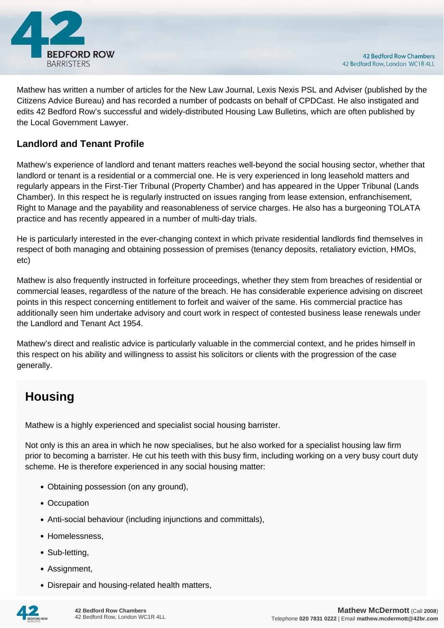

Mathew has written a number of articles for the New Law Journal, Lexis Nexis PSL and Adviser (published by the Citizens Advice Bureau) and has recorded a number of podcasts on behalf of CPDCast. He also instigated and edits 42 Bedford Row's successful and widely-distributed Housing Law Bulletins, which are often published by the Local Government Lawyer.

#### **Landlord and Tenant Profile**

Mathew's experience of landlord and tenant matters reaches well-beyond the social housing sector, whether that landlord or tenant is a residential or a commercial one. He is very experienced in long leasehold matters and regularly appears in the First-Tier Tribunal (Property Chamber) and has appeared in the Upper Tribunal (Lands Chamber). In this respect he is regularly instructed on issues ranging from lease extension, enfranchisement, Right to Manage and the payability and reasonableness of service charges. He also has a burgeoning TOLATA practice and has recently appeared in a number of multi-day trials.

He is particularly interested in the ever-changing context in which private residential landlords find themselves in respect of both managing and obtaining possession of premises (tenancy deposits, retaliatory eviction, HMOs, etc)

Mathew is also frequently instructed in forfeiture proceedings, whether they stem from breaches of residential or commercial leases, regardless of the nature of the breach. He has considerable experience advising on discreet points in this respect concerning entitlement to forfeit and waiver of the same. His commercial practice has additionally seen him undertake advisory and court work in respect of contested business lease renewals under the Landlord and Tenant Act 1954.

Mathew's direct and realistic advice is particularly valuable in the commercial context, and he prides himself in this respect on his ability and willingness to assist his solicitors or clients with the progression of the case generally.

# **Housing**

Mathew is a highly experienced and specialist social housing barrister.

Not only is this an area in which he now specialises, but he also worked for a specialist housing law firm prior to becoming a barrister. He cut his teeth with this busy firm, including working on a very busy court duty scheme. He is therefore experienced in any social housing matter:

- Obtaining possession (on any ground),
- Occupation
- Anti-social behaviour (including injunctions and committals),
- Homelessness.
- Sub-letting,
- Assignment.
- Disrepair and housing-related health matters,

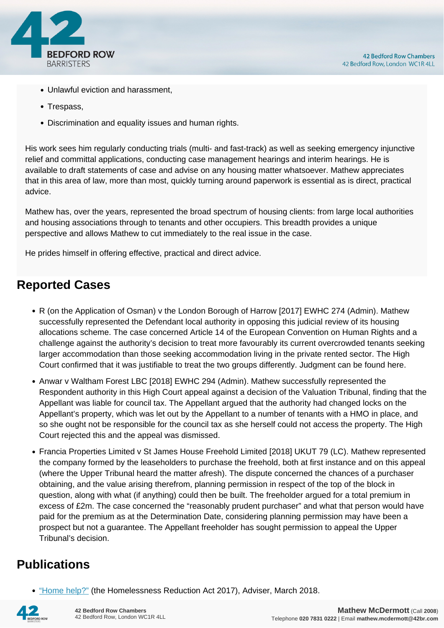

- Unlawful eviction and harassment,
- Trespass,
- Discrimination and equality issues and human rights.

His work sees him regularly conducting trials (multi- and fast-track) as well as seeking emergency injunctive relief and committal applications, conducting case management hearings and interim hearings. He is available to draft statements of case and advise on any housing matter whatsoever. Mathew appreciates that in this area of law, more than most, quickly turning around paperwork is essential as is direct, practical advice.

Mathew has, over the years, represented the broad spectrum of housing clients: from large local authorities and housing associations through to tenants and other occupiers. This breadth provides a unique perspective and allows Mathew to cut immediately to the real issue in the case.

He prides himself in offering effective, practical and direct advice.

### **Reported Cases**

- R (on the Application of Osman) v the London Borough of Harrow [2017] EWHC 274 (Admin). Mathew successfully represented the Defendant local authority in opposing this judicial review of its housing allocations scheme. The case concerned Article 14 of the European Convention on Human Rights and a challenge against the authority's decision to treat more favourably its current overcrowded tenants seeking larger accommodation than those seeking accommodation living in the private rented sector. The High Court confirmed that it was justifiable to treat the two groups differently. Judgment can be found here.
- Anwar v Waltham Forest LBC [2018] EWHC 294 (Admin). Mathew successfully represented the Respondent authority in this High Court appeal against a decision of the Valuation Tribunal, finding that the Appellant was liable for council tax. The Appellant argued that the authority had changed locks on the Appellant's property, which was let out by the Appellant to a number of tenants with a HMO in place, and so she ought not be responsible for the council tax as she herself could not access the property. The High Court rejected this and the appeal was dismissed.
- Francia Properties Limited v St James House Freehold Limited [2018] UKUT 79 (LC). Mathew represented the company formed by the leaseholders to purchase the freehold, both at first instance and on this appeal (where the Upper Tribunal heard the matter afresh). The dispute concerned the chances of a purchaser obtaining, and the value arising therefrom, planning permission in respect of the top of the block in question, along with what (if anything) could then be built. The freeholder argued for a total premium in excess of £2m. The case concerned the "reasonably prudent purchaser" and what that person would have paid for the premium as at the Determination Date, considering planning permission may have been a prospect but not a guarantee. The Appellant freeholder has sought permission to appeal the Upper Tribunal's decision.

## **Publications**

["Home help?"](https://medium.com/adviser/home-help-42c38d08ef99) (the Homelessness Reduction Act 2017), Adviser, March 2018.